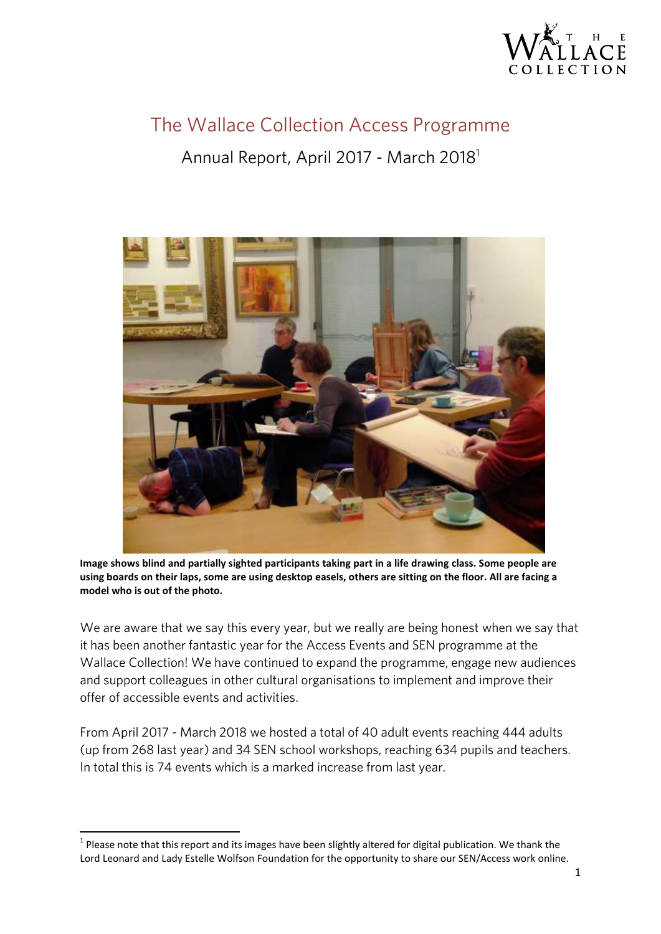

## The Wallace Collection Access Programme Annual Report, April 2017 - March 2018<sup>1</sup>



**Image shows blind and partially sighted participants taking part in a life drawing class. Some people are using boards on their laps, some are using desktop easels, others are sitting on the floor. All are facing a model who is out of the photo.**

We are aware that we say this every year, but we really are being honest when we say that it has been another fantastic year for the Access Events and SEN programme at the Wallace Collection! We have continued to expand the programme, engage new audiences and support colleagues in other cultural organisations to implement and improve their offer of accessible events and activities. offer of accessible events and activities.

From April 2017 - March 2018 we hosted a total of 40 adult events reaching 444 adults<br>(up from 268 last year) and 34 SEN school workshops, reaching 634 pupils and teachers. (up from 268 last year) and 34 SEN school workshops, reaching 634 pupils and teachers. In total this is 74 events which is a marked increase from last year.

1

 $1$  Please note that this report and its images have been slightly altered for digital publication. We thank the Lord Leonard and Lady Estelle Wolfson Foundation for the opportunity to share our SEN/Access work online.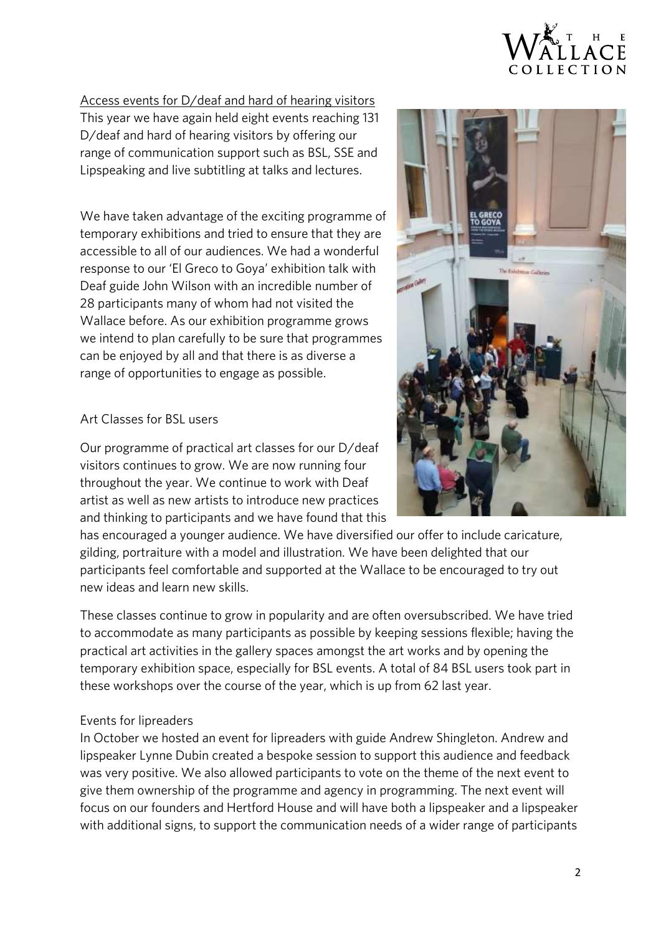

Access events for D/deaf and hard of hearing visitors<br>This year we have again held eight events reaching 131 D/deaf and hard of hearing visitors by offering our range of communication support such as BSL, SSE and  $\frac{1}{2}$  range of communication support such as  $\frac{1}{2}$ ,  $\frac{1}{2}$ Lipspeaking and live subtitling at talks and lectures.

We have taken advantage of the exciting programme of temporary exhibitions and tried to ensure that they are accessible to all of our audiences. We had a wonderful response to our 'El Greco to Goya' exhibition talk with Deaf guide John Wilson with an incredible number of 28 participants many of whom had not visited the Wallace before. As our exhibition programme grows we intend to plan carefully to be sure that programmes can be enjoyed by all and that there is as diverse a  $\frac{1}{2}$  and  $\frac{1}{2}$  and  $\frac{1}{2}$  and there is as  $\frac{1}{2}$  and  $\frac{1}{2}$  are diverse as  $\frac{1}{2}$  and  $\frac{1}{2}$  are diverse as  $\frac{1}{2}$  and  $\frac{1}{2}$  are diverse as  $\frac{1}{2}$  and  $\frac{1}{2}$  are diverse as  $\frac{1}{2}$  a range of opportunities to engage as possible.

# Art Classes for BSL users

Our programme of practical art classes for our D/deaf visitors continues to grow. We are now running four throughout the year. We continue to work with Deaf artist as well as new artists to introduce new practices and thinking to participants and we have found that this

has encouraged a younger audience. We have diversified our offer to include caricature, gilding, portraiture with a model and illustration. We have been delighted that our participants feel comfortable and supported at the Wallace to be encouraged to try out new ideas and learn new skills. new ideas and learn new skills.

These classes continue to grow in popularity and are often oversubscribed. We have tried<br>to accommodate as many participants as possible by keeping sessions flexible; having the practical art activities in the gallery spaces amongst the art works and by opening the temporary exhibition space, especially for BSL events. A total of 84 BSL users took part in  $t_{\text{max}}$  for  $\frac{1}{2}$  for  $\frac{1}{2}$  for  $\frac{1}{2}$  and  $\frac{1}{2}$  for  $\frac{1}{2}$  and  $\frac{1}{2}$  in  $\frac{1}{2}$  in  $\frac{1}{2}$  in  $\frac{1}{2}$  is the  $\frac{1}{2}$  in  $\frac{1}{2}$  is the  $\frac{1}{2}$  in  $\frac{1}{2}$  is the  $\frac{1}{2}$  in  $\frac{1}{2}$ these workshops over the course of the year, which is up from 62 last year.

Events for lipreaders<br>In October we hosted an event for lipreaders with guide Andrew Shingleton. Andrew and lipspeaker Lynne Dubin created a bespoke session to support this audience and feedback was very positive. We also allowed participants to vote on the theme of the next event to give them ownership of the programme and agency in programming. The next event will focus on our founders and Hertford House and will have both a lipspeaker and a lipspeaker focus on our founders and Hertford House and Ministry sent a lipspeaker and a lipspeaker with additional signs, to support the communication needs of a wider range of participants

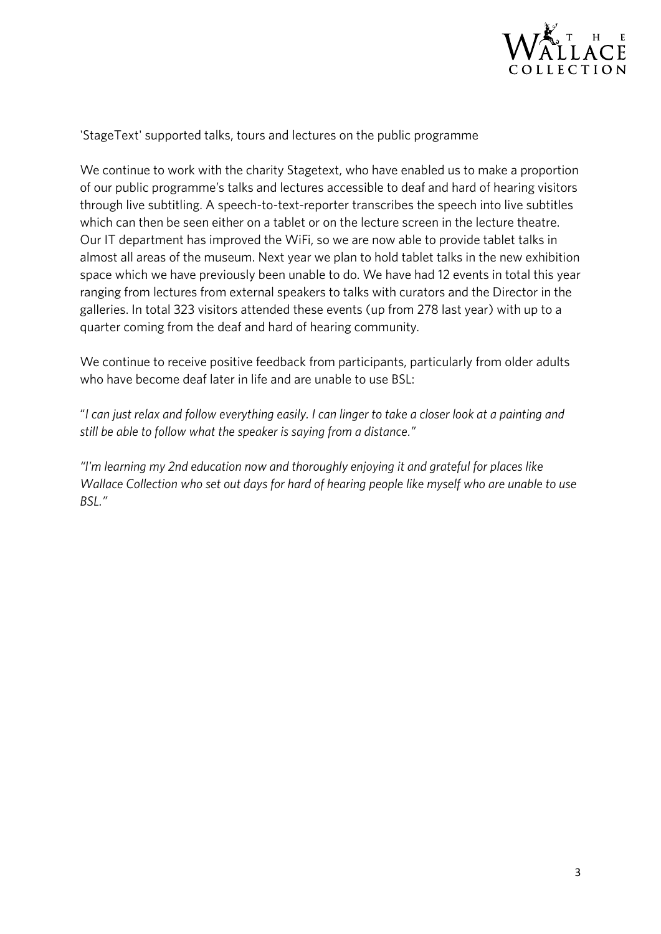

'StageText' supported talks, tours and lectures on the public programme

We continue to work with the charity Stagetext, who have enabled us to make a proportion<br>of our public programme's talks and lectures accessible to deaf and hard of hearing visitors through live subtitling. A speech-to-text-reporter transcribes the speech into live subtitles which can then be seen either on a tablet or on the lecture screen in the lecture theatre. Our IT department has improved the WiFi, so we are now able to provide tablet talks in almost all areas of the museum. Next year we plan to hold tablet talks in the new exhibition space which we have previously been unable to do. We have had 12 events in total this year ranging from lectures from external speakers to talks with curators and the Director in the galleries. In total 323 visitors attended these events (up from 278 last year) with up to a galleries. In total 323 visitors attended these events (up from 278 last year) with up to a quarter coming from the deaf and hard of hearing community.

We continue to receive positive feedback from participants, particularly from older adults who have become deaf later in life and are unable to use BSL: who have been deaf later in life and are unable to use BSL:

"*I can just relax and follow everything easily. I can linger to take a closer look at a painting and still be able to follow what the speaker is saying from a distance."*

*"I'm learning my 2nd education now and thoroughly enjoying it and grateful for places like Wallace Collection who set out days for hard of hearing people like myself who are unable to use BSL."*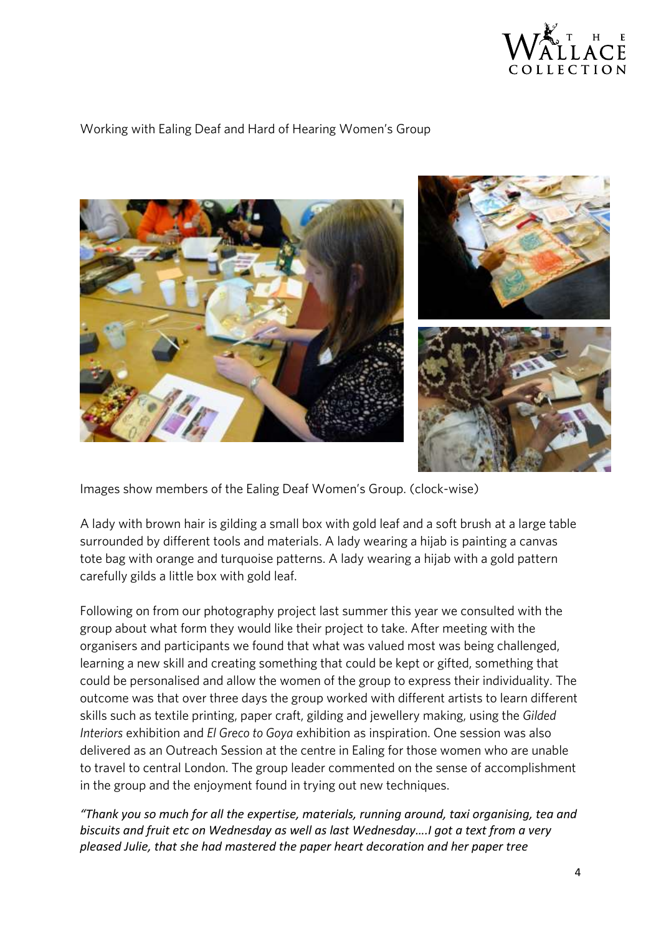

## Working with Ealing Deaf and Hard of Hearing Women's Group



Images show members of the Ealing Deaf Women's Group. (clock-wise)

A lady with brown hair is gilding a small box with gold leaf and a soft brush at a large table<br>surrounded by different tools and materials. A lady wearing a hijab is painting a canvas tote bag with orange and turquoise patterns. A lady wearing a hijab with a gold pattern  $\frac{1}{2}$  contribution of the bag with  $\frac{1}{2}$  and  $\frac{1}{2}$  and  $\frac{1}{2}$  are  $\frac{1}{2}$  and  $\frac{1}{2}$  and  $\frac{1}{2}$  are  $\frac{1}{2}$  and  $\frac{1}{2}$  and  $\frac{1}{2}$  and  $\frac{1}{2}$  and  $\frac{1}{2}$  and  $\frac{1}{2}$  and  $\frac{1}{2}$  and carefully given a little box with girls and

Following on from our photography project last summer this year we consulted with the group about what form they would like their project to take. After meeting with the organisers and participants we found that what was valued most was being challenged, learning a new skill and creating something that could be kept or gifted, something that could be personalised and allow the women of the group to express their individuality. The outcome was that over three days the group worked with different artists to learn different skills such as textile printing, paper craft, gilding and jewellery making, using the Gilded Interiors exhibition and El Greco to Goya exhibition as inspiration. One session was also *Interiorsal as an Outreach Session at the centre in Ealing for those women who are unable* to travel to central London. The group leader commented on the sense of accomplishment  $\frac{1}{2}$  to  $\frac{1}{2}$  . The group and the enjoyment found in the group extract complishments. in the group and the enjoyment found in trying out new techniques.

*"Thank you so much for all the expertise, materials, running around, taxi organising, tea and biscuits and fruit etc on Wednesday as well as last Wednesday….I got a text from a very pleased Julie, that she had mastered the paper heart decoration and her paper tree*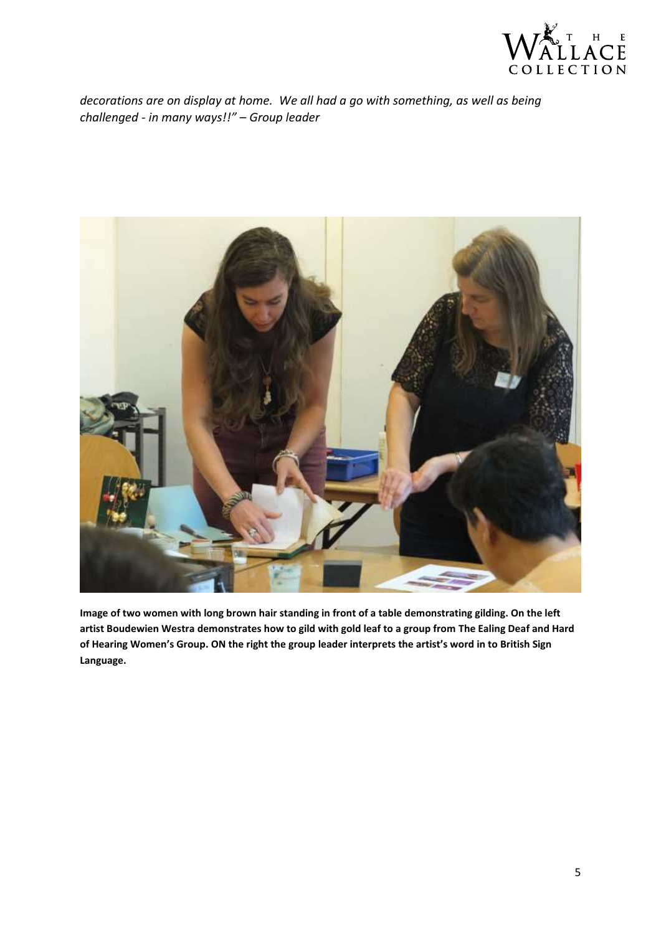

*decorations are on display at home. We all had a go with something, as well as being challenged - in many ways!!" – Group leader*



**Image of two women with long brown hair standing in front of a table demonstrating gilding. On the left artist Boudewien Westra demonstrates how to gild with gold leaf to a group from The Ealing Deaf and Hard of Hearing Women's Group. ON the right the group leader interprets the artist's word in to British Sign Language.**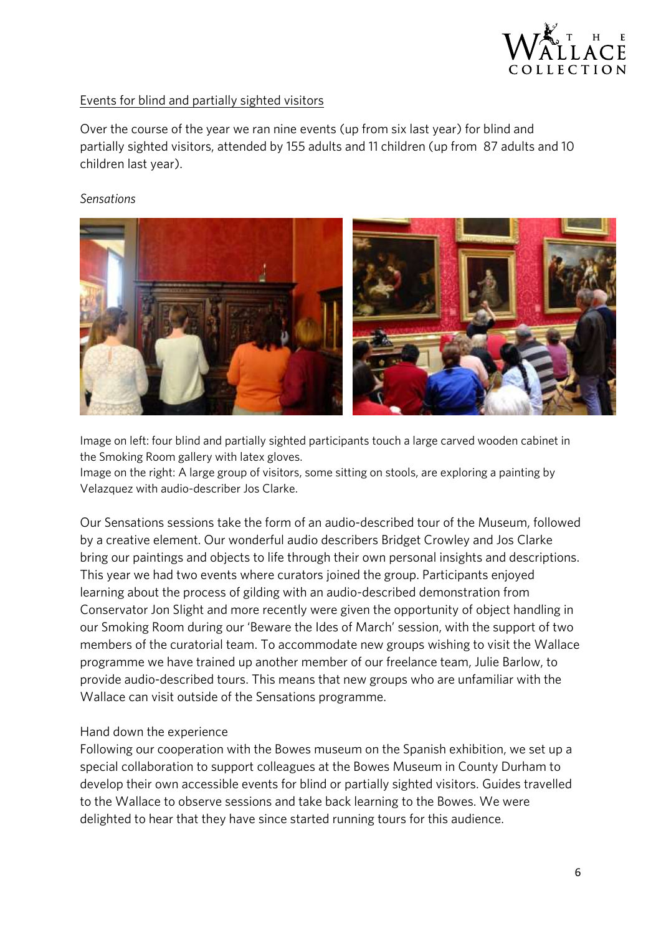

## Events for blind and partially sighted visitors

Over the course of the year we ran nine events (up from six last year) for blind and<br>partially sighted visitors, attended by 155 adults and 11 children (up from 87 adults and 10 children last year). children last year).



## Sensations

Image on left: four blind and partially sighted participants touch a large carved wooden cabinet in the Smoking Room gallery with latex gloves.

Image on the right: A large group of visitors, some sitting on stools, are exploring a painting by Image on the right: A large group of visitors, some sitting on stools, are exploring a painting by Velazquez with audio-describer Jos Clarke.

Our Sensations sessions take the form of an audio-described tour of the Museum, followed<br>by a creative element. Our wonderful audio describers Bridget Crowley and Jos Clarke bring our paintings and objects to life through their own personal insights and descriptions. This year we had two events where curators joined the group. Participants enjoyed Theis is a had the process of gilding with an audio-described demonstration from Conservator Jon Slight and more recently were given the opportunity of object handling in our Smoking Room during our 'Beware the Ides of March' session, with the support of two members of the curatorial team. To accommodate new groups wishing to visit the Wallace programme we have trained up another member of our freelance team, Julie Barlow, to provide audio-described tours. This means that new groups who are unfamiliar with the Wallace can visit outside of the Sensations programme. Wallace can visit outside of the Sensations programme.

Hand down the experience<br>Following our cooperation with the Bowes museum on the Spanish exhibition, we set up a special collaboration to support colleagues at the Bowes Museum in County Durham to develop their own accessible events for blind or partially sighted visitors. Guides travelled to the Wallace to observe sessions and take back learning to the Bowes. We were delighted to hear that they have since started running tours for this audience. delighted to hear that they have since started running tours for this audience.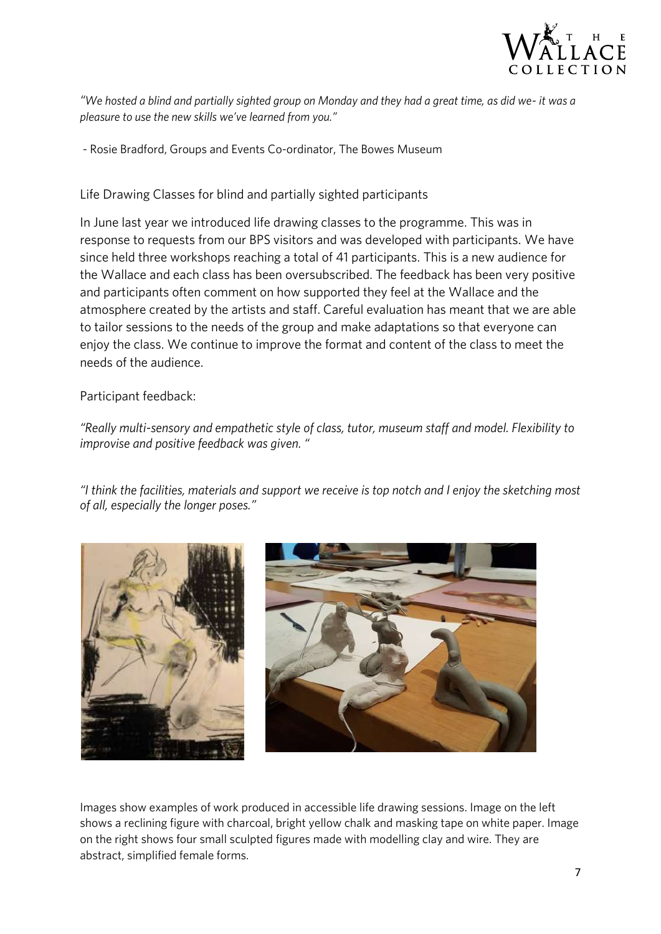

*"We hosted a blind and partially sighted group on Monday and they had a great time, as did we- it was a pleasure to use the new skills we've learned from you."*

- Rosie Bradford, Groups and Events Co-ordinator, The Bowes Museum

Life Drawing Classes for blind and partially sighted participants

In June last year we introduced life drawing classes to the programme. This was in response to requests from our BPS visitors and was developed with participants. We have since held three workshops reaching a total of 41 participants. This is a new audience for the Wallace and each class has been oversubscribed. The feedback has been very positive and participants often comment on how supported they feel at the Wallace and the atmosphere created by the artists and staff. Careful evaluation has meant that we are able to tailor sessions to the needs of the group and make adaptations so that everyone can enjoy the class. We continue to improve the format and content of the class to meet the needs of the audience. needs of the audience.

Participant feedback:

*"Really multi-sensory and empathetic style of class, tutor, museum staff and model. Flexibility to improvise and positive feedback was given. "*

*"I think the facilities, materials and support we receive is top notch and I enjoy the sketching most of all, especially the longer poses."*





Images show examples of work produced in accessible life drawing sessions. Image on the left shows a reclining figure with charcoal, bright yellow chalk and masking tape on white paper. Image on the right shows four small sculpted figures made with modelling clay and wire. They are on the right shows four small sculpted figures made with modelling clay and wire. They are abstract, simplified female forms.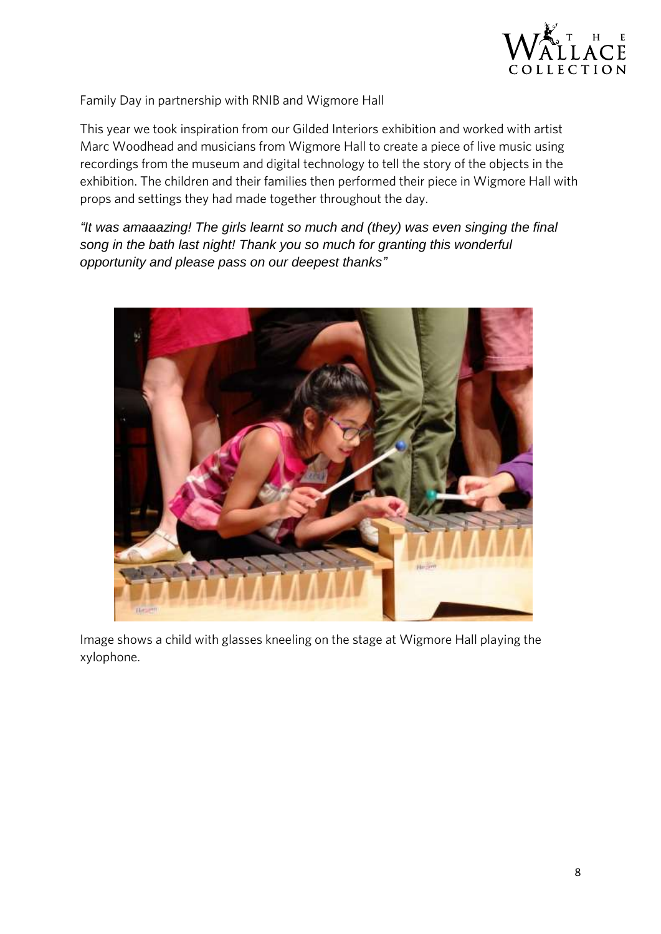

Family Day in partnership with RNIB and Wigmore Hall

This year we took inspiration from our Gilded Interiors exhibition and worked with artist<br>Marc Woodhead and musicians from Wigmore Hall to create a piece of live music using recordings from the museum and digital technology to tell the story of the objects in the exhibition. The children and their families then performed their piece in Wigmore Hall with exhibition. The children and their families then performed then process in Righters Hall with props and settings they had made together throughout the day.

*"It was amaaazing! The girls learnt so much and (they) was even singing the final song in the bath last night! Thank you so much for granting this wonderful opportunity and please pass on our deepest thanks"*



Image shows a child with glasses kneeling on the stage at Wigmore Hall playing the xylophone.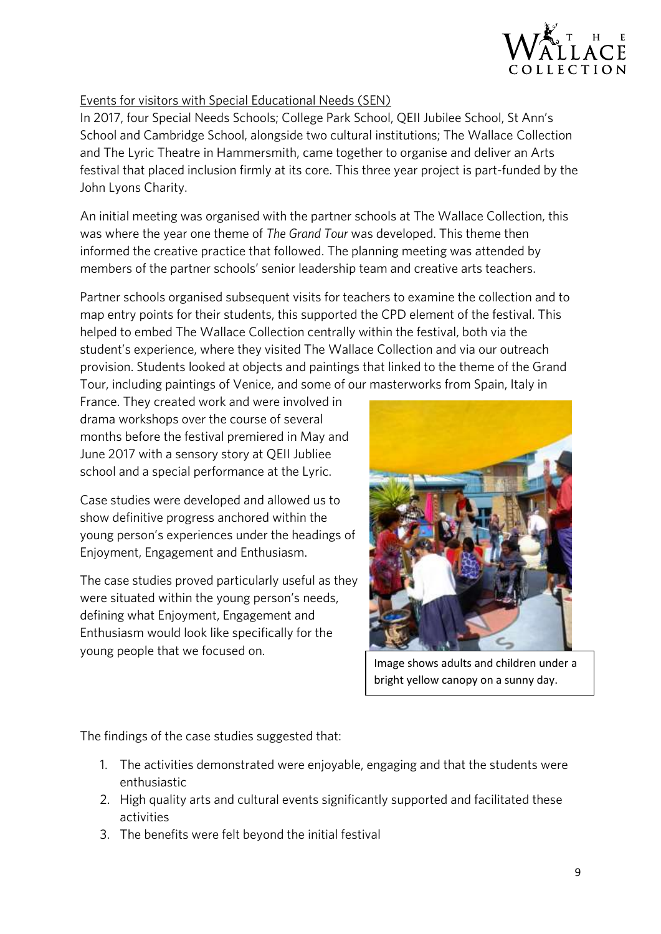

Events for visitors with Special Educational Needs (SEN)<br>In 2017, four Special Needs Schools; College Park School, QEII Jubilee School, St Ann's School and Cambridge School, alongside two cultural institutions; The Wallace Collection and The Lyric Theatre in Hammersmith, came together to organise and deliver an Arts and The Lyric Theorem The Lyric Theorem Contains to the Lyric Theorem in The Lyric Theorem is and deliver and deliver and deliver and deliver and deliver and deliver and deliver and deliver and deliver and deliver and deli festival that placed inclusion firmly at its core. This three year project is part-funded by the John Lyons Charity.

An initial meeting was organised with the partner schools at The Wallace Collection, this was where the year one theme of The Grand Tour was developed. This theme then informed the creative practice that followed. The planning meeting was attended by  $\frac{1}{\sqrt{2}}$  in the creative probability  $\frac{1}{\sqrt{2}}$  for  $\frac{1}{\sqrt{2}}$ . The planning meeting was attended by members of the partner schools' senior leadership team and creative arts teachers.

Partner schools organised subsequent visits for teachers to examine the collection and to map entry points for their students, this supported the CPD element of the festival. This helped to embed The Wallace Collection centrally within the festival, both via the student's experience, where they visited The Wallace Collection and via our outreach provision. Students looked at objects and paintings that linked to the theme of the Grand Tour, including paintings of Venice, and some of our masterworks from Spain, Italy in

France, They created work and were involved in drama work shops over the course of several months before the festival premiered in May and June 2017 with a sensory story at QEII Jubliee  $\frac{1}{2}$  and a special performance at the Luria school and a special performance at the Lyric.

Case studies were developed and allowed us to<br>show definitive progress anchored within the young person's experiences under the headings of young person's person's experiences under the second state of the second state of the second state of the second state of the second state of the second state of the second state of the second state of the second state of  $E_{\text{eff}}$ 

The case studies proved particularly useful as they<br>were situated within the young person's needs, defining what Enjoyment, Engagement and Enthusiasm would look like specifically for the young people that we focused on. young people that we focused on.



Image shows adults and children under a bright yellow canopy on a sunny day.

The findings of the case studies suggested that:

- 1. The activities demonstrated were enjoyable, engaging and that the students were
- enthusiastic<br>High quality 2. High quality arts and cultural events significantly supported and facilitated these
- activities<br>The benes 3. The benefits were felt beyond the initial festival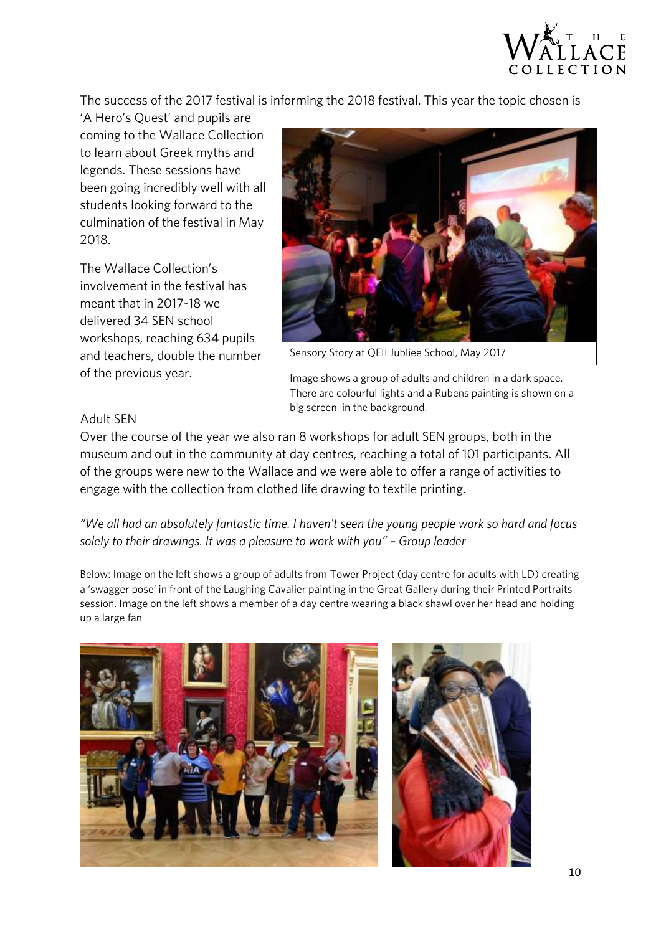

The success of the 2017 festival is informing the 2018 festival. This year the topic chosen is 'A Hero's Quest' and pupils are

coming to the Wallace Collection to learn about Greek myths and legends. These sessions have been going incredibly well with all students looking forward to the  $sub$ students looking for  $\frac{1}{2}$  for  $\frac{1}{2}$  for  $\frac{1}{2}$  for  $\frac{1}{2}$  for  $\frac{1}{2}$  for  $\frac{1}{2}$  for  $\frac{1}{2}$  for  $\frac{1}{2}$  for  $\frac{1}{2}$  for  $\frac{1}{2}$  for  $\frac{1}{2}$  for  $\frac{1}{2}$  for  $\frac{1}{2}$  for  $\frac{1}{2}$  for culmination of the festival in May 2018.

The Wallace Collection's involvement in the festival has meant that in 2017-18 we delivered 34 SEN school workshops, reaching 634 pupils and teachers, double the number of the previous year. of the previous year.



Sensory Story at QEII Jubliee School, May 2017

Image shows a group of adults and children in a dark space.<br>There are colourful lights and a Rubens painting is shown on a big screen in the background.  $\mathbf{b}$  screen in the background.

## Adult SEN

Over the course of the year we also ran 8 workshops for adult SEN groups, both in the museum and out in the community at day centres, reaching a total of 101 participants. All of the groups were new to the Wallace and we were able to offer a range of activities to ong the groups with the collection from clothed life drawing to toxtile printing engage with the collection from clothed life drawing to textile printing.

*"We all had an absolutely fantastic time. I haven't seen the young people work so hard and focus solely to their drawings. It was a pleasure to work with you" – Group leader*

Below: Image on the left shows a group of adults from Tower Project (day centre for adults with LD) creating<br>a 'swagger pose' in front of the Laughing Cavalier painting in the Great Gallery during their Printed Portraits session. Image on the left shows a member of a day centre wearing a black shawl over her head and holding session. Image on the left shows a member of a day centre wearing a black shawl over her head and holding.<br>In a black she up a large fan